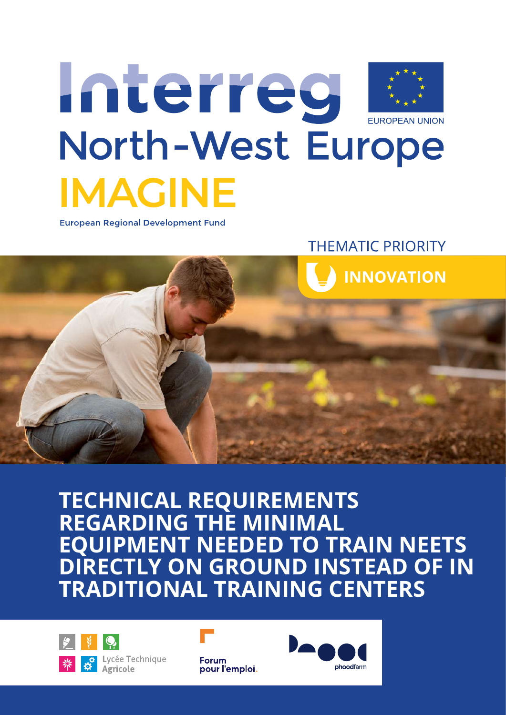

**European Regional Development Fund** 

**THEMATIC PRIORITY** 



# **TECHNICAL REQUIREMENTS REGARDING THE MINIMAL EQUIPMENT NEEDED TO TRAIN NEETS DIRECTLY ON GROUND INSTEAD OF IN TRADITIONAL TRAINING CENTERS**



Lycée Technique



**Forum** pour l'emploi.

*TECHNICAL REQUIREMENTS REGARDING THE MINIMAL EQUIPMENT NEEDED TO TRAIN NEETS* **1**

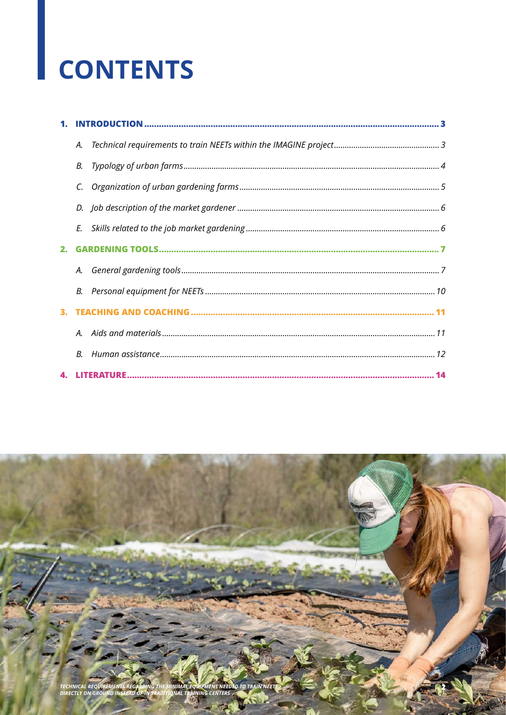# **CONTENTS**

|    | А. |  |
|----|----|--|
|    | В. |  |
|    | C. |  |
|    | D. |  |
|    | E. |  |
| 2. |    |  |
|    |    |  |
|    | В. |  |
|    |    |  |
|    |    |  |
|    | В. |  |
|    |    |  |

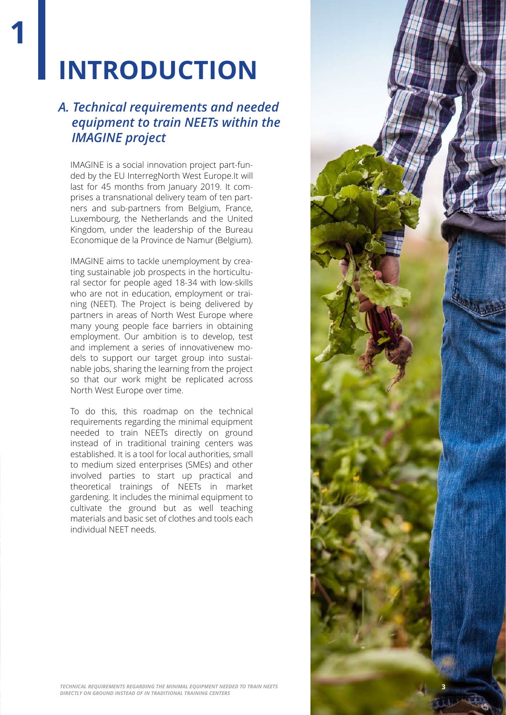# **INTRODUCTION**

**1**

## *A. Technical requirements and needed equipment to train NEETs within the IMAGINE project*

IMAGINE is a social innovation project part-funded by the EU InterregNorth West Europe.It will last for 45 months from January 2019. It comprises a transnational delivery team of ten partners and sub-partners from Belgium, France, Luxembourg, the Netherlands and the United Kingdom, under the leadership of the Bureau Economique de la Province de Namur (Belgium).

IMAGINE aims to tackle unemployment by creating sustainable job prospects in the horticultural sector for people aged 18-34 with low-skills who are not in education, employment or training (NEET). The Project is being delivered by partners in areas of North West Europe where many young people face barriers in obtaining employment. Our ambition is to develop, test and implement a series of innovativenew models to support our target group into sustainable jobs, sharing the learning from the project so that our work might be replicated across North West Europe over time.

To do this, this roadmap on the technical requirements regarding the minimal equipment needed to train NEETs directly on ground instead of in traditional training centers was established. It is a tool for local authorities, small to medium sized enterprises (SMEs) and other involved parties to start up practical and theoretical trainings of NEETs in market gardening. It includes the minimal equipment to cultivate the ground but as well teaching materials and basic set of clothes and tools each individual NEET needs.

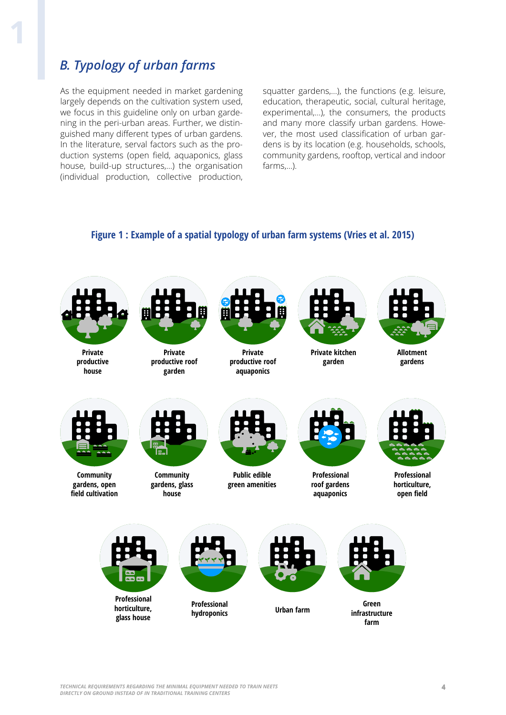## *B. Typology of urban farms*

As the equipment needed in market gardening largely depends on the cultivation system used, we focus in this guideline only on urban gardening in the peri-urban areas. Further, we distinguished many different types of urban gardens. In the literature, serval factors such as the production systems (open field, aquaponics, glass house, build-up structures,…) the organisation (individual production, collective production,

squatter gardens,…), the functions (e.g. leisure, education, therapeutic, social, cultural heritage, experimental,…), the consumers, the products and many more classify urban gardens. However, the most used classification of urban gardens is by its location (e.g. households, schools, community gardens, rooftop, vertical and indoor farms,…).

#### **Figure 1 : Example of a spatial typology of urban farm systems (Vries et al. 2015)**

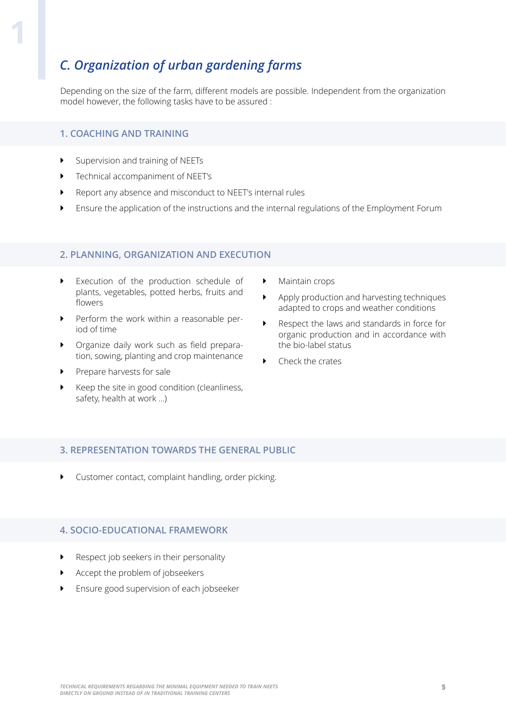## *C. Organization of urban gardening farms*

Depending on the size of the farm, different models are possible. Independent from the organization model however, the following tasks have to be assured :

#### **1. COACHING AND TRAINING**

- **�** Supervision and training of NEETs
- **�** Technical accompaniment of NEET's
- **�** Report any absence and misconduct to NEET's internal rules
- **�** Ensure the application of the instructions and the internal regulations of the Employment Forum

#### **2. PLANNING, ORGANIZATION AND EXECUTION**

- **�** Execution of the production schedule of plants, vegetables, potted herbs, fruits and flowers
- **�** Perform the work within a reasonable period of time
- **�** Organize daily work such as field preparation, sowing, planting and crop maintenance
- **�** Prepare harvests for sale
- **�** Keep the site in good condition (cleanliness, safety, health at work ...)
- **�** Maintain crops
- **�** Apply production and harvesting techniques adapted to crops and weather conditions
- **�** Respect the laws and standards in force for organic production and in accordance with the bio-label status
- **�** Check the crates

#### **3. REPRESENTATION TOWARDS THE GENERAL PUBLIC**

**�** Customer contact, complaint handling, order picking.

#### **4. SOCIO-EDUCATIONAL FRAMEWORK**

- **�** Respect job seekers in their personality
- **�** Accept the problem of jobseekers
- **�** Ensure good supervision of each jobseeker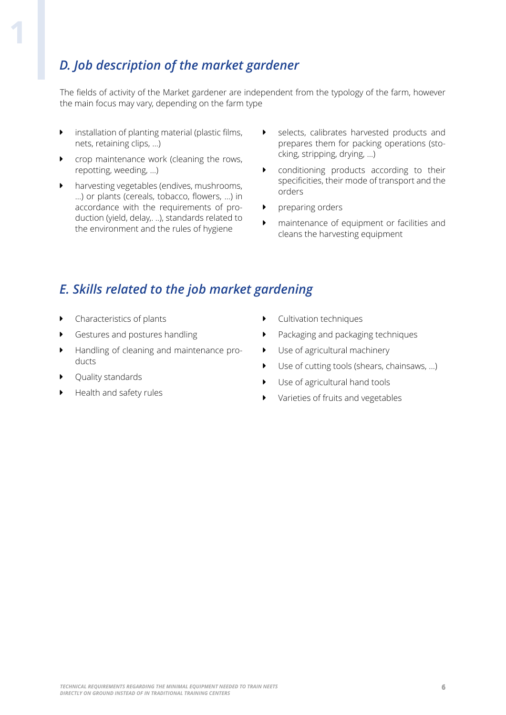## *D. Job description of the market gardener*

The fields of activity of the Market gardener are independent from the typology of the farm, however the main focus may vary, depending on the farm type

- **�** installation of planting material (plastic films, nets, retaining clips, ...)
- **�** crop maintenance work (cleaning the rows, repotting, weeding, ...)
- **�** harvesting vegetables (endives, mushrooms, ...) or plants (cereals, tobacco, flowers, ...) in accordance with the requirements of production (yield, delay,. ..), standards related to the environment and the rules of hygiene
- **�** selects, calibrates harvested products and prepares them for packing operations (stocking, stripping, drying, ...)
- **�** conditioning products according to their specificities, their mode of transport and the orders
- **�** preparing orders
- **�** maintenance of equipment or facilities and cleans the harvesting equipment

### *E. Skills related to the job market gardening*

- **�** Characteristics of plants
- **�** Gestures and postures handling
- **�** Handling of cleaning and maintenance products
- **�** Quality standards
- **�** Health and safety rules
- **�** Cultivation techniques
- **�** Packaging and packaging techniques
- **�** Use of agricultural machinery
- **�** Use of cutting tools (shears, chainsaws, ...)
- **�** Use of agricultural hand tools
- **�** Varieties of fruits and vegetables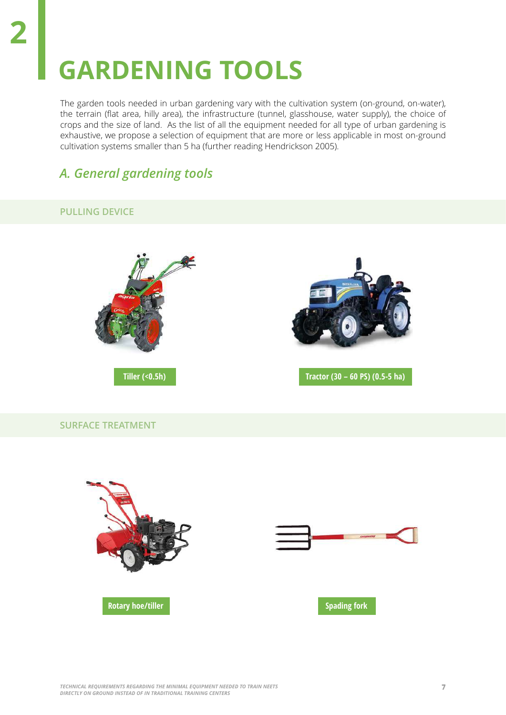# **GARDENING TOOLS**

The garden tools needed in urban gardening vary with the cultivation system (on-ground, on-water), the terrain (flat area, hilly area), the infrastructure (tunnel, glasshouse, water supply), the choice of crops and the size of land. As the list of all the equipment needed for all type of urban gardening is exhaustive, we propose a selection of equipment that are more or less applicable in most on-ground cultivation systems smaller than 5 ha (further reading Hendrickson 2005).

### *A. General gardening tools*

#### **PULLING DEVICE**

**2**





**Tiller (<0.5h) Tractor (30 – 60 PS) (0.5-5 ha)**

#### **SURFACE TREATMENT**

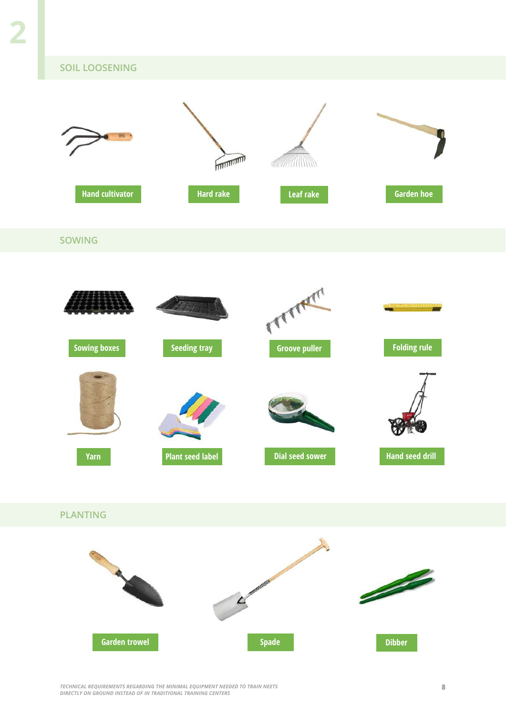#### **SOIL LOOSENING**



*TECHNICAL REQUIREMENTS REGARDING THE MINIMAL EQUIPMENT NEEDED TO TRAIN NEETS* **8** *DIRECTLY ON GROUND INSTEAD OF IN TRADITIONAL TRAINING CENTERS*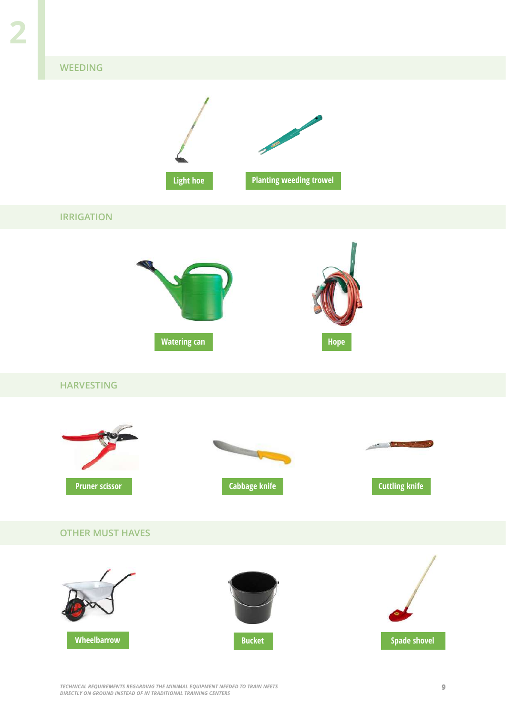#### **WEEDING**



*TECHNICAL REQUIREMENTS REGARDING THE MINIMAL EQUIPMENT NEEDED TO TRAIN NEETS* **9** *DIRECTLY ON GROUND INSTEAD OF IN TRADITIONAL TRAINING CENTERS*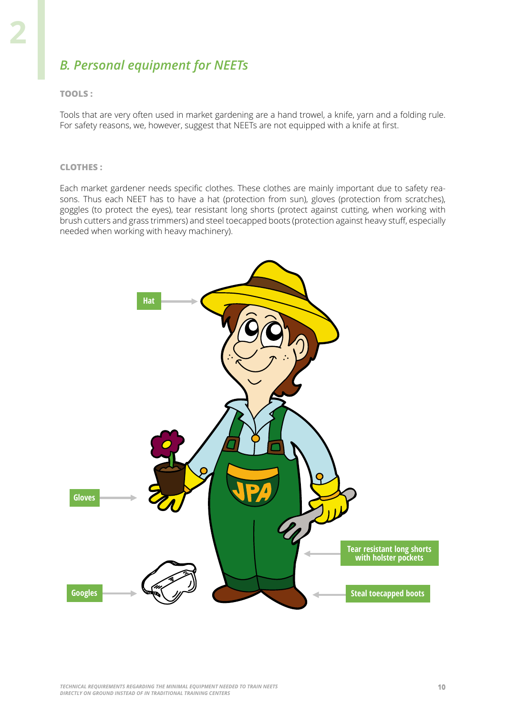## *B. Personal equipment for NEETs*

#### **TOOLS :**

Tools that are very often used in market gardening are a hand trowel, a knife, yarn and a folding rule. For safety reasons, we, however, suggest that NEETs are not equipped with a knife at first.

#### **CLOTHES :**

Each market gardener needs specific clothes. These clothes are mainly important due to safety reasons. Thus each NEET has to have a hat (protection from sun), gloves (protection from scratches), goggles (to protect the eyes), tear resistant long shorts (protect against cutting, when working with brush cutters and grass trimmers) and steel toecapped boots (protection against heavy stuff, especially needed when working with heavy machinery).

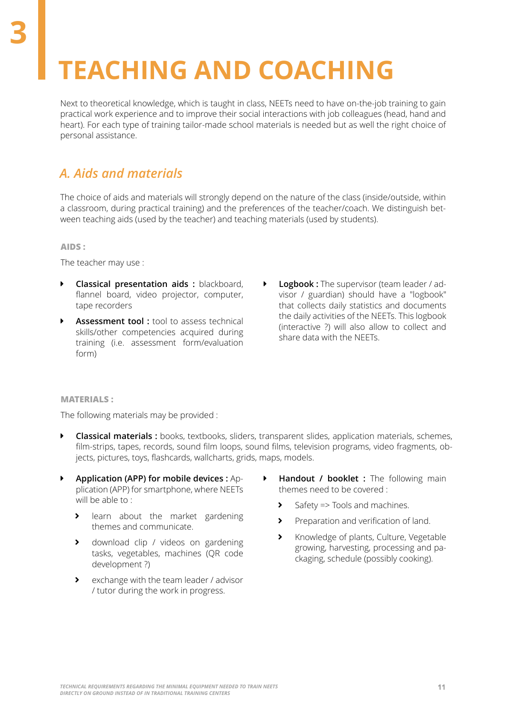# **TEACHING AND COACHING**

Next to theoretical knowledge, which is taught in class, NEETs need to have on-the-job training to gain practical work experience and to improve their social interactions with job colleagues (head, hand and heart). For each type of training tailor-made school materials is needed but as well the right choice of personal assistance.

## *A. Aids and materials*

The choice of aids and materials will strongly depend on the nature of the class (inside/outside, within a classroom, during practical training) and the preferences of the teacher/coach. We distinguish between teaching aids (used by the teacher) and teaching materials (used by students).

**AIDS :**

The teacher may use :

- **� Classical presentation aids :** blackboard, flannel board, video projector, computer, tape recorders
- **Assessment tool :** tool to assess technical skills/other competencies acquired during training (i.e. assessment form/evaluation form)
- **� Logbook :** The supervisor (team leader / advisor / guardian) should have a "logbook" that collects daily statistics and documents the daily activities of the NEETs. This logbook (interactive ?) will also allow to collect and share data with the NEETs.

#### **MATERIALS :**

The following materials may be provided :

- **� Classical materials :** books, textbooks, sliders, transparent slides, application materials, schemes, film-strips, tapes, records, sound film loops, sound films, television programs, video fragments, objects, pictures, toys, flashcards, wallcharts, grids, maps, models.
- **� Application (APP) for mobile devices :** Application (APP) for smartphone, where NEETs will be able to:
	- **�** learn about the market gardening themes and communicate.
	- **�** download clip / videos on gardening tasks, vegetables, machines (QR code development ?)
	- **�** exchange with the team leader / advisor / tutor during the work in progress.
- **� Handout / booklet :** The following main themes need to be covered :
	- **�** Safety => Tools and machines.
	- **�** Preparation and verification of land.
	- **�** Knowledge of plants, Culture, Vegetable growing, harvesting, processing and packaging, schedule (possibly cooking).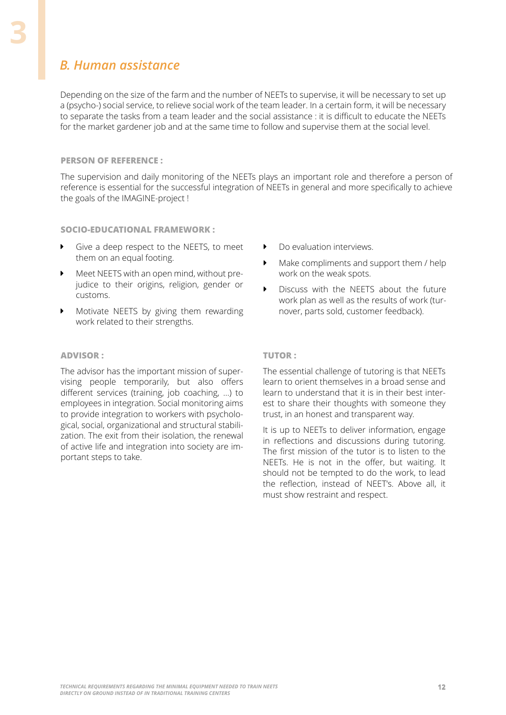### *B. Human assistance*

**3**

Depending on the size of the farm and the number of NEETs to supervise, it will be necessary to set up a (psycho-) social service, to relieve social work of the team leader. In a certain form, it will be necessary to separate the tasks from a team leader and the social assistance : it is difficult to educate the NEETs for the market gardener job and at the same time to follow and supervise them at the social level.

#### **PERSON OF REFERENCE :**

The supervision and daily monitoring of the NEETs plays an important role and therefore a person of reference is essential for the successful integration of NEETs in general and more specifically to achieve the goals of the IMAGINE-project !

#### **SOCIO-EDUCATIONAL FRAMEWORK :**

- **�** Give a deep respect to the NEETS, to meet them on an equal footing.
- **�** Meet NEETS with an open mind, without prejudice to their origins, religion, gender or customs.
- **�** Motivate NEETS by giving them rewarding work related to their strengths.

#### **ADVISOR :**

The advisor has the important mission of supervising people temporarily, but also offers different services (training, job coaching, ...) to employees in integration. Social monitoring aims to provide integration to workers with psychological, social, organizational and structural stabilization. The exit from their isolation, the renewal of active life and integration into society are important steps to take.

- **�** Do evaluation interviews.
- **�** Make compliments and support them / help work on the weak spots.
- **�** Discuss with the NEETS about the future work plan as well as the results of work (turnover, parts sold, customer feedback).

#### **TUTOR :**

The essential challenge of tutoring is that NEETs learn to orient themselves in a broad sense and learn to understand that it is in their best interest to share their thoughts with someone they trust, in an honest and transparent way.

It is up to NEETs to deliver information, engage in reflections and discussions during tutoring. The first mission of the tutor is to listen to the NEETs. He is not in the offer, but waiting. It should not be tempted to do the work, to lead the reflection, instead of NEET's. Above all, it must show restraint and respect.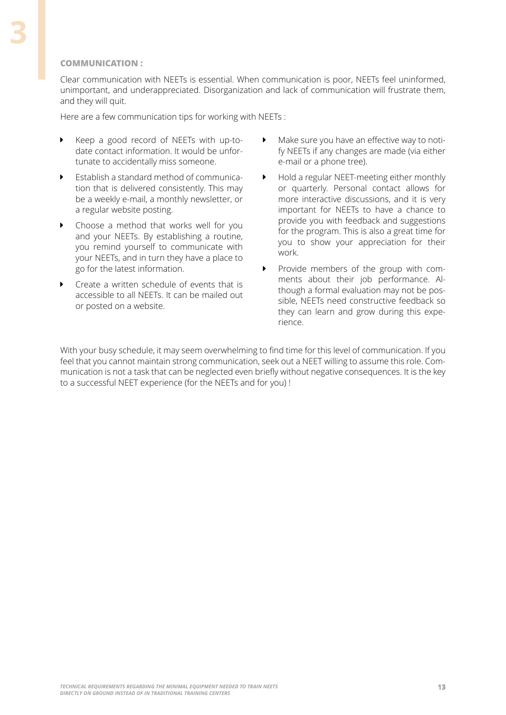Clear communication with NEETs is essential. When communication is poor, NEETs feel uninformed, unimportant, and underappreciated. Disorganization and lack of communication will frustrate them, and they will quit.

Here are a few communication tips for working with NEETs :

- **�** Keep a good record of NEETs with up-todate contact information. It would be unfortunate to accidentally miss someone.
- **�** Establish a standard method of communication that is delivered consistently. This may be a weekly e-mail, a monthly newsletter, or a regular website posting.
- **�** Choose a method that works well for you and your NEETs. By establishing a routine, you remind yourself to communicate with your NEETs, and in turn they have a place to go for the latest information.
- **�** Create a written schedule of events that is accessible to all NEETs. It can be mailed out or posted on a website.
- **�** Make sure you have an effective way to notify NEETs if any changes are made (via either e-mail or a phone tree).
- **�** Hold a regular NEET-meeting either monthly or quarterly. Personal contact allows for more interactive discussions, and it is very important for NEETs to have a chance to provide you with feedback and suggestions for the program. This is also a great time for you to show your appreciation for their work.
- **�** Provide members of the group with comments about their job performance. Although a formal evaluation may not be possible, NEETs need constructive feedback so they can learn and grow during this experience.

With your busy schedule, it may seem overwhelming to find time for this level of communication. If you feel that you cannot maintain strong communication, seek out a NEET willing to assume this role. Communication is not a task that can be neglected even briefly without negative consequences. It is the key to a successful NEET experience (for the NEETs and for you) !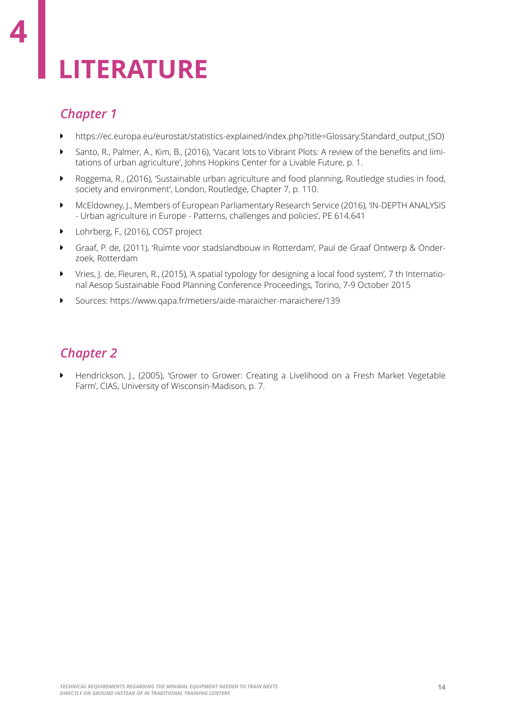# **LITERATURE**

# *Chapter 1*

**4**

- **�** https://ec.europa.eu/eurostat/statistics-explained/index.php?title=Glossary:Standard\_output\_(SO)
- **�** Santo, R., Palmer, A., Kim, B., (2016), 'Vacant lots to Vibrant Plots: A review of the benefits and limitations of urban agriculture', Johns Hopkins Center for a Livable Future, p. 1.
- **�** Roggema, R., (2016), 'Sustainable urban agriculture and food planning, Routledge studies in food, society and environment', London, Routledge, Chapter 7, p. 110.
- **�** McEldowney, J., Members of European Parliamentary Research Service (2016), 'IN-DEPTH ANALYSIS - Urban agriculture in Europe - Patterns, challenges and policies', PE 614.641
- **�** Lohrberg, F., (2016), COST project
- **�** Graaf, P. de, (2011), 'Ruimte voor stadslandbouw in Rotterdam', Paul de Graaf Ontwerp & Onderzoek, Rotterdam
- **�** Vries, J. de, Fleuren, R., (2015), 'A spatial typology for designing a local food system', 7 th International Aesop Sustainable Food Planning Conference Proceedings, Torino, 7-9 October 2015
- **�** Sources: https://www.qapa.fr/metiers/aide-maraicher-maraichere/139

## *Chapter 2*

**�** Hendrickson, J., (2005), 'Grower to Grower: Creating a Livelihood on a Fresh Market Vegetable Farm', CIAS, University of Wisconsin-Madison, p. 7.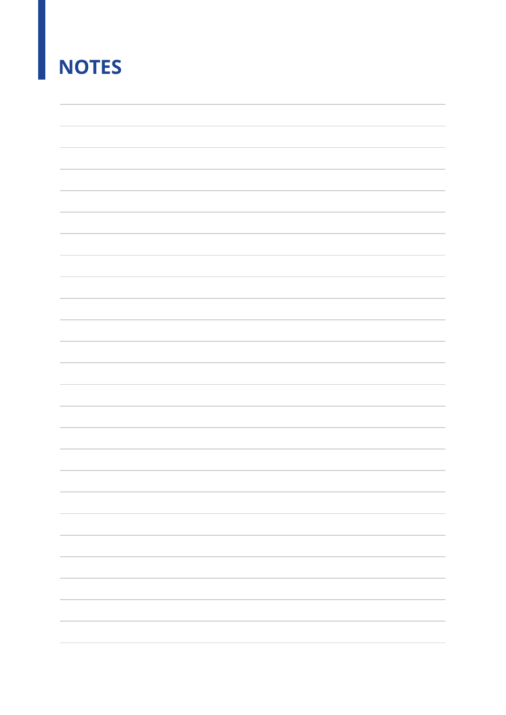# **NOTES**